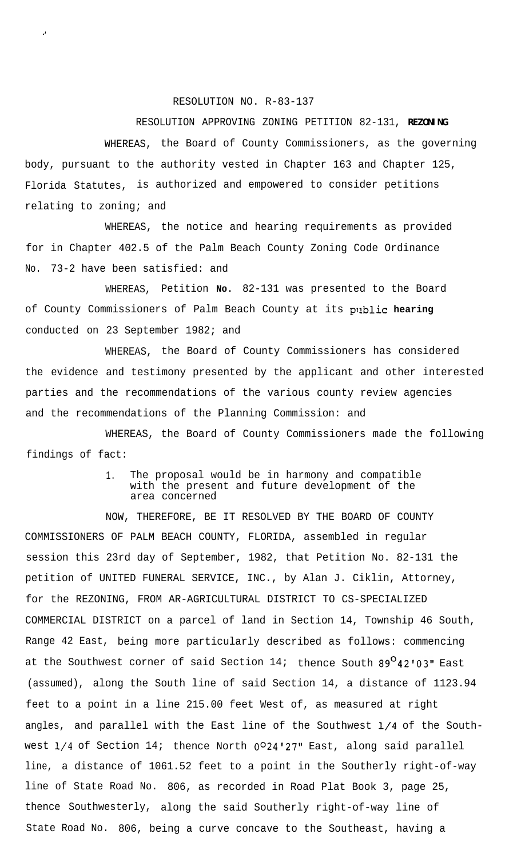## RESOLUTION NO. R-83-137

."

## RESOLUTION APPROVING ZONING PETITION 82-131, **REZONING**

WHEREAS, the Board of County Commissioners, as the governing body, pursuant to the authority vested in Chapter 163 and Chapter 125, Florida Statutes, is authorized and empowered to consider petitions relating to zoning; and

WHEREAS, the notice and hearing requirements as provided for in Chapter 402.5 of the Palm Beach County Zoning Code Ordinance No. 73-2 have been satisfied: and

WHEREAS, Petition **No.** 82-131 was presented to the Board of County Commissioners of Palm Beach County at its public hearing conducted on 23 September 1982; and

the evidence and testimony presented by the applicant and other interested WHEREAS, the Board of County Commissioners has considered parties and the recommendations of the various county review agencies and the recommendations of the Planning Commission: and

WHEREAS, the Board of County Commissioners made the following findings of fact:

## 1. The proposal would be in harmony and compatible with the present and future development of the area concerned

NOW, THEREFORE, BE IT RESOLVED BY THE BOARD OF COUNTY COMMISSIONERS OF PALM BEACH COUNTY, FLORIDA, assembled in regular session this 23rd day of September, 1982, that Petition No. 82-131 the petition of UNITED FUNERAL SERVICE, INC., by Alan J. Ciklin, Attorney, for the REZONING, FROM AR-AGRICULTURAL DISTRICT TO CS-SPECIALIZED COMMERCIAL DISTRICT on a parcel of land in Section 14, Township 46 South, Range 42 East, being more particularly described as follows: commencing at the Southwest corner of said Section  $14i$  thence South  $89^{\circ}42'03''$  East (assumed), along the South line of said Section 14, a distance of 1123.94 feet to a point in a line 215.00 feet West of, as measured at right angles, and parallel with the East line of the Southwest l/4 of the Southwest  $1/4$  of Section 14; thence North  $0^{\circ}24'27''$  East, along said parallel line, a distance of 1061.52 feet to a point in the Southerly right-of-way line of State Road No. 806, as recorded in Road Plat Book 3, page 25, thence Southwesterly, along the said Southerly right-of-way line of State Road No. 806, being a curve concave to the Southeast, having a